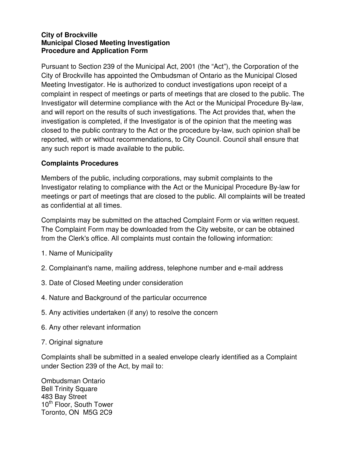## **City of Brockville Municipal Closed Meeting Investigation Procedure and Application Form**

Pursuant to Section 239 of the Municipal Act, 2001 (the "Act"), the Corporation of the City of Brockville has appointed the Ombudsman of Ontario as the Municipal Closed Meeting Investigator. He is authorized to conduct investigations upon receipt of a complaint in respect of meetings or parts of meetings that are closed to the public. The Investigator will determine compliance with the Act or the Municipal Procedure By-law, and will report on the results of such investigations. The Act provides that, when the investigation is completed, if the Investigator is of the opinion that the meeting was closed to the public contrary to the Act or the procedure by-law, such opinion shall be reported, with or without recommendations, to City Council. Council shall ensure that any such report is made available to the public.

## **Complaints Procedures**

Members of the public, including corporations, may submit complaints to the Investigator relating to compliance with the Act or the Municipal Procedure By-law for meetings or part of meetings that are closed to the public. All complaints will be treated as confidential at all times.

Complaints may be submitted on the attached Complaint Form or via written request. The Complaint Form may be downloaded from the City website, or can be obtained from the Clerk's office. All complaints must contain the following information:

- 1. Name of Municipality
- 2. Complainant's name, mailing address, telephone number and e-mail address
- 3. Date of Closed Meeting under consideration
- 4. Nature and Background of the particular occurrence
- 5. Any activities undertaken (if any) to resolve the concern
- 6. Any other relevant information
- 7. Original signature

Complaints shall be submitted in a sealed envelope clearly identified as a Complaint under Section 239 of the Act, by mail to:

Ombudsman Ontario Bell Trinity Square 483 Bay Street 10<sup>th</sup> Floor, South Tower Toronto, ON M5G 2C9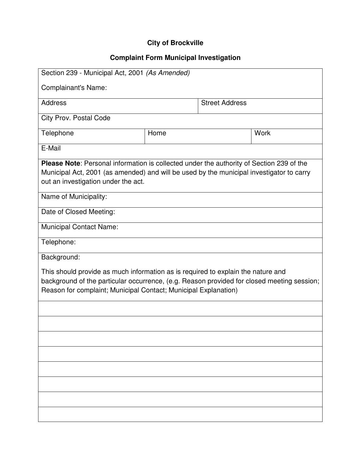## **City of Brockville**

## **Complaint Form Municipal Investigation**

| Section 239 - Municipal Act, 2001 (As Amended)                                                                                                                                                                                                    |      |                       |      |  |
|---------------------------------------------------------------------------------------------------------------------------------------------------------------------------------------------------------------------------------------------------|------|-----------------------|------|--|
| <b>Complainant's Name:</b>                                                                                                                                                                                                                        |      |                       |      |  |
| Address                                                                                                                                                                                                                                           |      | <b>Street Address</b> |      |  |
| <b>City Prov. Postal Code</b>                                                                                                                                                                                                                     |      |                       |      |  |
| Telephone                                                                                                                                                                                                                                         | Home |                       | Work |  |
| E-Mail                                                                                                                                                                                                                                            |      |                       |      |  |
| Please Note: Personal information is collected under the authority of Section 239 of the<br>Municipal Act, 2001 (as amended) and will be used by the municipal investigator to carry<br>out an investigation under the act.                       |      |                       |      |  |
| Name of Municipality:                                                                                                                                                                                                                             |      |                       |      |  |
| Date of Closed Meeting:                                                                                                                                                                                                                           |      |                       |      |  |
| <b>Municipal Contact Name:</b>                                                                                                                                                                                                                    |      |                       |      |  |
| Telephone:                                                                                                                                                                                                                                        |      |                       |      |  |
| Background:                                                                                                                                                                                                                                       |      |                       |      |  |
| This should provide as much information as is required to explain the nature and<br>background of the particular occurrence, (e.g. Reason provided for closed meeting session;<br>Reason for complaint; Municipal Contact; Municipal Explanation) |      |                       |      |  |
|                                                                                                                                                                                                                                                   |      |                       |      |  |
|                                                                                                                                                                                                                                                   |      |                       |      |  |
|                                                                                                                                                                                                                                                   |      |                       |      |  |
|                                                                                                                                                                                                                                                   |      |                       |      |  |
|                                                                                                                                                                                                                                                   |      |                       |      |  |
|                                                                                                                                                                                                                                                   |      |                       |      |  |
|                                                                                                                                                                                                                                                   |      |                       |      |  |
|                                                                                                                                                                                                                                                   |      |                       |      |  |